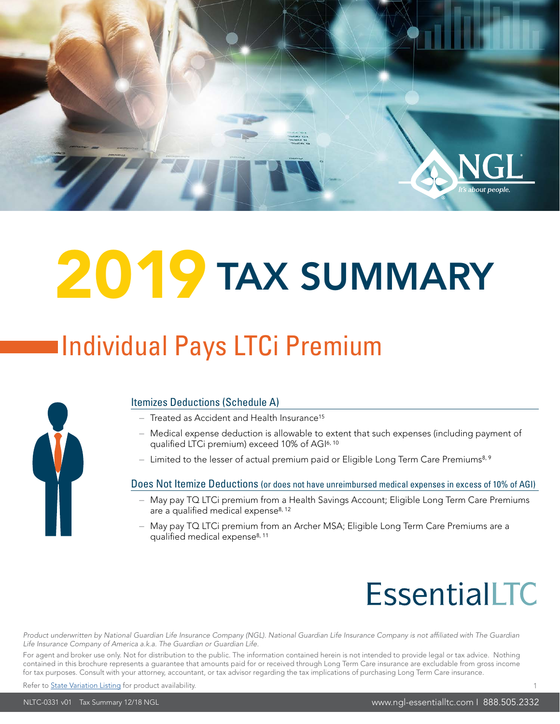

# 2019 TAX SUMMARY

### Individual Pays LTCi Premium



#### Itemizes Deductions (Schedule A)

- $-$  Treated as Accident and Health Insurance<sup>15</sup>
- Medical expense deduction is allowable to extent that such expenses (including payment of qualified LTCi premium) exceed 10% of AGI6, 10
- Limited to the lesser of actual premium paid or Eligible Long Term Care Premiums<sup>8, 9</sup>

#### Does Not Itemize Deductions (or does not have unreimbursed medical expenses in excess of 10% of AGI)

- May pay TQ LTCi premium from a Health Savings Account; Eligible Long Term Care Premiums are a qualified medical expense<sup>8, 12</sup>
- May pay TQ LTCi premium from an Archer MSA; Eligible Long Term Care Premiums are a qualified medical expense<sup>8, 11</sup>

### **EssentialLTC**

Product underwritten by National Guardian Life Insurance Company (NGL). National Guardian Life Insurance Company is not affiliated with The Guardian *Life Insurance Company of America a.k.a. The Guardian or Guardian Life.*

For agent and broker use only. Not for distribution to the public. The information contained herein is not intended to provide legal or tax advice. Nothing contained in this brochure represents a guarantee that amounts paid for or received through Long Term Care insurance are excludable from gross income for tax purposes. Consult with your attorney, accountant, or tax advisor regarding the tax implications of purchasing Long Term Care insurance.

Refer to [State Variation Listing](https://www.ngl-essentialltc.com/bga/NLTC-PF.pdf) for product availability.

www.ngl-essentialltc.com | 888.505.2332

1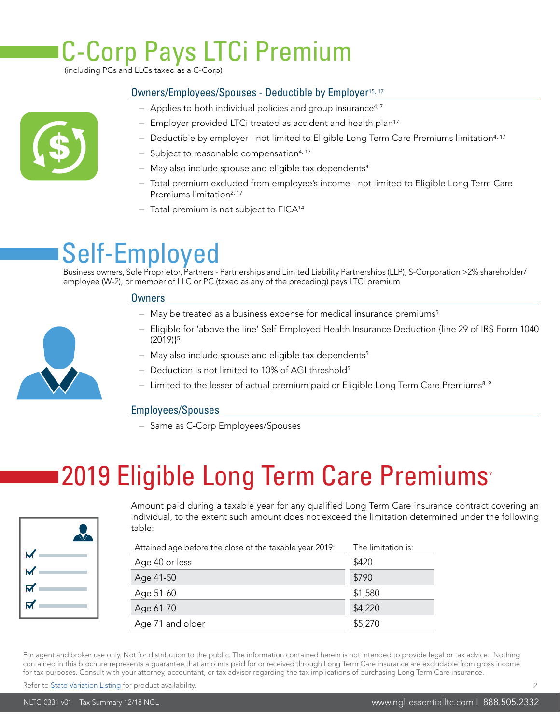### C-Corp Pays LTCi Premium

(including PCs and LLCs taxed as a C-Corp)

#### Owners/Employees/Spouses - Deductible by Employer15, 17

- Applies to both individual policies and group insurance<sup>4,7</sup>
- Employer provided LTCi treated as accident and health plan<sup>17</sup>
- $-$  Deductible by employer not limited to Eligible Long Term Care Premiums limitation<sup>4, 17</sup>
- Subject to reasonable compensation<sup>4, 17</sup>
- May also include spouse and eligible tax dependents<sup>4</sup>
- Total premium excluded from employee's income not limited to Eligible Long Term Care Premiums limitation<sup>2, 17</sup>
- $-$  Total premium is not subject to FICA<sup>14</sup>

#### Self-Employed

Business owners, Sole Proprietor, Partners - Partnerships and Limited Liability Partnerships (LLP), S-Corporation >2% shareholder/ employee (W-2), or member of LLC or PC (taxed as any of the preceding) pays LTCi premium

#### **Owners**

- May be treated as a business expense for medical insurance premiums<sup>5</sup>
- Eligible for 'above the line' Self-Employed Health Insurance Deduction {line 29 of IRS Form 1040 (2019)}<sup>5</sup>
- May also include spouse and eligible tax dependents<sup>5</sup>
- Deduction is not limited to 10% of AGI threshold<sup>5</sup>
- Limited to the lesser of actual premium paid or Eligible Long Term Care Premiums<sup>8, 9</sup>

#### Employees/Spouses

– Same as C-Corp Employees/Spouses

#### 2019 Eligible Long Term Care Premiums<sup>®</sup>



Amount paid during a taxable year for any qualified Long Term Care insurance contract covering an individual, to the extent such amount does not exceed the limitation determined under the following table:

| Attained age before the close of the taxable year 2019:<br>The limitation is: |         |  |
|-------------------------------------------------------------------------------|---------|--|
| Age 40 or less                                                                | \$420   |  |
| Age 41-50                                                                     | \$790   |  |
| Age 51-60                                                                     | \$1,580 |  |
| Age 61-70                                                                     | \$4,220 |  |
| Age 71 and older                                                              | \$5,270 |  |
|                                                                               |         |  |

For agent and broker use only. Not for distribution to the public. The information contained herein is not intended to provide legal or tax advice. Nothing contained in this brochure represents a guarantee that amounts paid for or received through Long Term Care insurance are excludable from gross income for tax purposes. Consult with your attorney, accountant, or tax advisor regarding the tax implications of purchasing Long Term Care insurance.

Refer to [State Variation Listing](https://www.ngl-essentialltc.com/bga/NLTC-PF.pdf) for product availability.

\$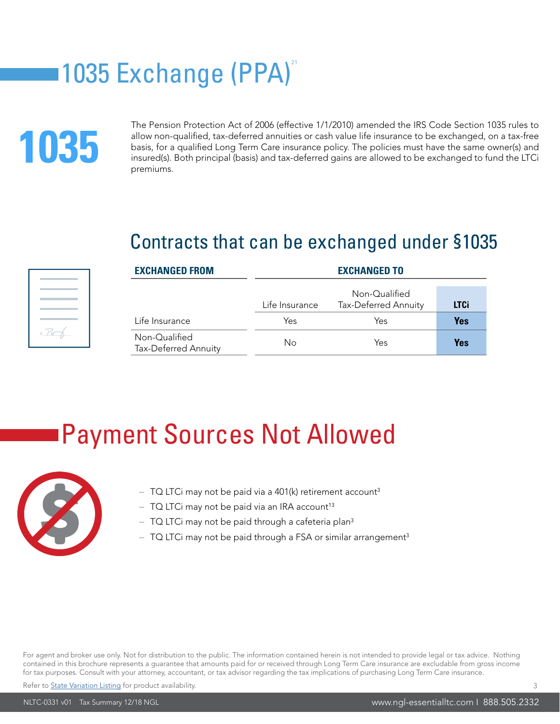### 1035 Exchange (PPA)<sup>21</sup>

## 1035

The Pension Protection Act of 2006 (effective 1/1/2010) amended the IRS Code Section 1035 rules to allow non-qualified, tax-deferred annuities or cash value life insurance to be exchanged, on a tax-free basis, for a qualified Long Term Care insurance policy. The policies must have the same owner(s) and insured(s). Both principal (basis) and tax-deferred gains are allowed to be exchanged to fund the LTCi premiums.

#### Contracts that can be exchanged under §1035



| <b>EXCHANGED FROM</b>                 | <b>EXCHANGED TO</b> |                                       |             |
|---------------------------------------|---------------------|---------------------------------------|-------------|
|                                       | Life Insurance      | Non-Qualified<br>Tax-Deferred Annuity | <b>LTCi</b> |
| Life Insurance                        | Yes                 | Yes                                   | Yes         |
| Non-Qualified<br>Tax-Deferred Annuity | Νo                  | Yes                                   | Yes         |

#### Payment Sources Not Allowed



- $-$  TQ LTCi may not be paid via a 401(k) retirement account<sup>3</sup>
- $-$  TQ LTCi may not be paid via an IRA account<sup>13</sup>
- $-$  TQ LTCi may not be paid through a cafeteria plan<sup>3</sup>
- $-$  TQ LTCi may not be paid through a FSA or similar arrangement<sup>3</sup>

For agent and broker use only. Not for distribution to the public. The information contained herein is not intended to provide legal or tax advice. Nothing contained in this brochure represents a guarantee that amounts paid for or received through Long Term Care insurance are excludable from gross income for tax purposes. Consult with your attorney, accountant, or tax advisor regarding the tax implications of purchasing Long Term Care insurance.

Refer to [State Variation Listing](https://www.ngl-essentialltc.com/bga/NLTC-PF.pdf) for product availability.

3